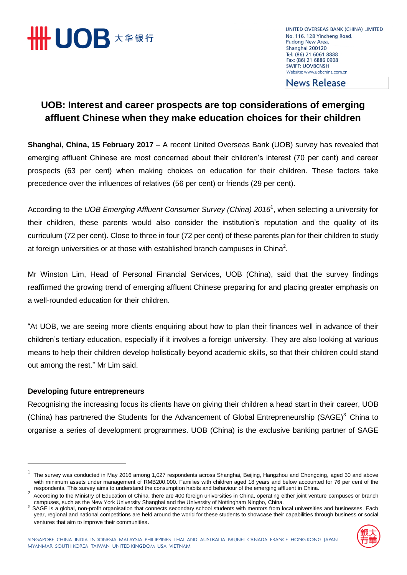

UNITED OVERSEAS BANK (CHINA) LIMITED No. 116, 128 Yincheng Road, Pudong New Area, Shanghai 200120 Tel: (86) 21 6061 8888 Fax: (86) 21 6886 0908 **SWIFT: UOVBCNSH** Website: www.uobchina.com.cn

**News Release** 

## **UOB: Interest and career prospects are top considerations of emerging affluent Chinese when they make education choices for their children**

**Shanghai, China, 15 February 2017** – A recent United Overseas Bank (UOB) survey has revealed that emerging affluent Chinese are most concerned about their children's interest (70 per cent) and career prospects (63 per cent) when making choices on education for their children. These factors take precedence over the influences of relatives (56 per cent) or friends (29 per cent).

According to the *UOB Emerging Affluent Consumer Survey (China) 2016*<sup>1</sup> , when selecting a university for their children, these parents would also consider the institution's reputation and the quality of its curriculum (72 per cent). Close to three in four (72 per cent) of these parents plan for their children to study at foreign universities or at those with established branch campuses in China<sup>2</sup>.

Mr Winston Lim, Head of Personal Financial Services, UOB (China), said that the survey findings reaffirmed the growing trend of emerging affluent Chinese preparing for and placing greater emphasis on a well-rounded education for their children.

"At UOB, we are seeing more clients enquiring about how to plan their finances well in advance of their children's tertiary education, especially if it involves a foreign university. They are also looking at various means to help their children develop holistically beyond academic skills, so that their children could stand out among the rest." Mr Lim said.

## **Developing future entrepreneurs**

Recognising the increasing focus its clients have on giving their children a head start in their career, UOB (China) has partnered the Students for the Advancement of Global Entrepreneurship (SAGE)<sup>3</sup> China to organise a series of development programmes. UOB (China) is the exclusive banking partner of SAGE

<sup>&</sup>lt;sup>3</sup> SAGE is a global, non-profit organisation that connects secondary school students with mentors from local universities and businesses. Each year, regional and national competitions are held around the world for these students to showcase their capabilities through business or social ventures that aim to improve their communities.



<sup>1</sup> The survey was conducted in May 2016 among 1,027 respondents across Shanghai, Beijing, Hangzhou and Chongqing, aged 30 and above with minimum assets under management of RMB200,000. Families with children aged 18 years and below accounted for 76 per cent of the respondents. This survey aims to understand the consumption habits and behaviour of the emerging affluent in China.

 $2\overline{2}$  According to the Ministry of Education of China, there are 400 foreign universities in China, operating either joint venture campuses or branch campuses, such as the New York University Shanghai and the University of Nottingham Ningbo, China.